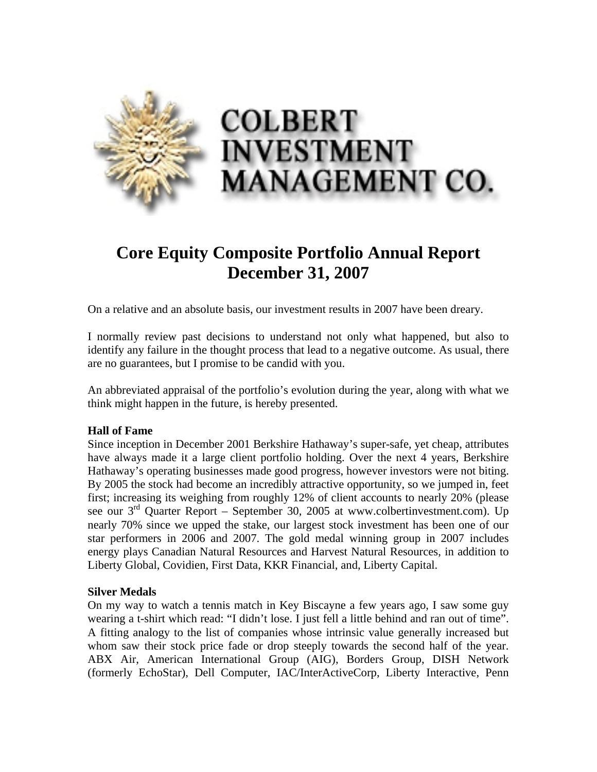

# **Core Equity Composite Portfolio Annual Report December 31, 2007**

On a relative and an absolute basis, our investment results in 2007 have been dreary.

I normally review past decisions to understand not only what happened, but also to identify any failure in the thought process that lead to a negative outcome. As usual, there are no guarantees, but I promise to be candid with you.

An abbreviated appraisal of the portfolio's evolution during the year, along with what we think might happen in the future, is hereby presented.

## **Hall of Fame**

Since inception in December 2001 Berkshire Hathaway's super-safe, yet cheap, attributes have always made it a large client portfolio holding. Over the next 4 years, Berkshire Hathaway's operating businesses made good progress, however investors were not biting. By 2005 the stock had become an incredibly attractive opportunity, so we jumped in, feet first; increasing its weighing from roughly 12% of client accounts to nearly 20% (please see our  $3<sup>rd</sup>$  Quarter Report – September 30, 2005 at www.colbertinvestment.com). Up nearly 70% since we upped the stake, our largest stock investment has been one of our star performers in 2006 and 2007. The gold medal winning group in 2007 includes energy plays Canadian Natural Resources and Harvest Natural Resources, in addition to Liberty Global, Covidien, First Data, KKR Financial, and, Liberty Capital.

## **Silver Medals**

On my way to watch a tennis match in Key Biscayne a few years ago, I saw some guy wearing a t-shirt which read: "I didn't lose. I just fell a little behind and ran out of time". A fitting analogy to the list of companies whose intrinsic value generally increased but whom saw their stock price fade or drop steeply towards the second half of the year. ABX Air, American International Group (AIG), Borders Group, DISH Network (formerly EchoStar), Dell Computer, IAC/InterActiveCorp, Liberty Interactive, Penn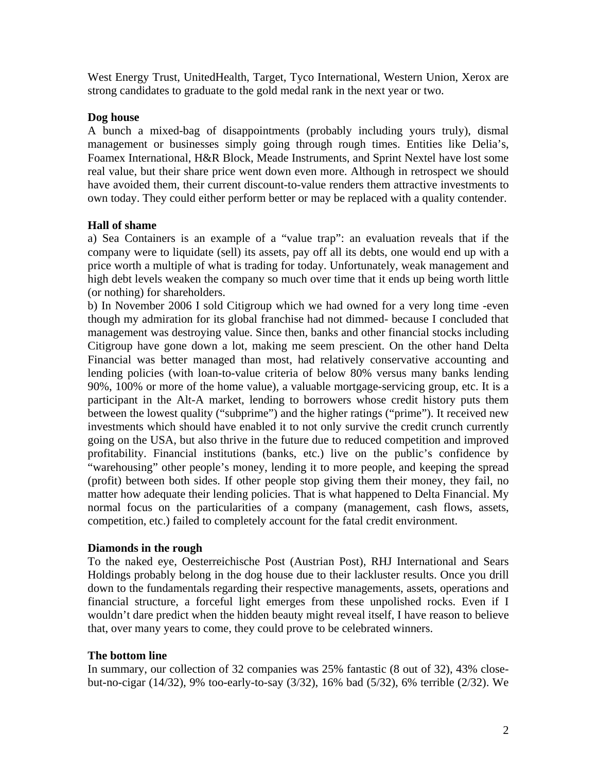West Energy Trust, UnitedHealth, Target, Tyco International, Western Union, Xerox are strong candidates to graduate to the gold medal rank in the next year or two.

## **Dog house**

A bunch a mixed-bag of disappointments (probably including yours truly), dismal management or businesses simply going through rough times. Entities like Delia's, Foamex International, H&R Block, Meade Instruments, and Sprint Nextel have lost some real value, but their share price went down even more. Although in retrospect we should have avoided them, their current discount-to-value renders them attractive investments to own today. They could either perform better or may be replaced with a quality contender.

## **Hall of shame**

a) Sea Containers is an example of a "value trap": an evaluation reveals that if the company were to liquidate (sell) its assets, pay off all its debts, one would end up with a price worth a multiple of what is trading for today. Unfortunately, weak management and high debt levels weaken the company so much over time that it ends up being worth little (or nothing) for shareholders.

b) In November 2006 I sold Citigroup which we had owned for a very long time -even though my admiration for its global franchise had not dimmed- because I concluded that management was destroying value. Since then, banks and other financial stocks including Citigroup have gone down a lot, making me seem prescient. On the other hand Delta Financial was better managed than most, had relatively conservative accounting and lending policies (with loan-to-value criteria of below 80% versus many banks lending 90%, 100% or more of the home value), a valuable mortgage-servicing group, etc. It is a participant in the Alt-A market, lending to borrowers whose credit history puts them between the lowest quality ("subprime") and the higher ratings ("prime"). It received new investments which should have enabled it to not only survive the credit crunch currently going on the USA, but also thrive in the future due to reduced competition and improved profitability. Financial institutions (banks, etc.) live on the public's confidence by "warehousing" other people's money, lending it to more people, and keeping the spread (profit) between both sides. If other people stop giving them their money, they fail, no matter how adequate their lending policies. That is what happened to Delta Financial. My normal focus on the particularities of a company (management, cash flows, assets, competition, etc.) failed to completely account for the fatal credit environment.

## **Diamonds in the rough**

To the naked eye, Oesterreichische Post (Austrian Post), RHJ International and Sears Holdings probably belong in the dog house due to their lackluster results. Once you drill down to the fundamentals regarding their respective managements, assets, operations and financial structure, a forceful light emerges from these unpolished rocks. Even if I wouldn't dare predict when the hidden beauty might reveal itself, I have reason to believe that, over many years to come, they could prove to be celebrated winners.

## **The bottom line**

In summary, our collection of 32 companies was 25% fantastic (8 out of 32), 43% closebut-no-cigar (14/32), 9% too-early-to-say (3/32), 16% bad (5/32), 6% terrible (2/32). We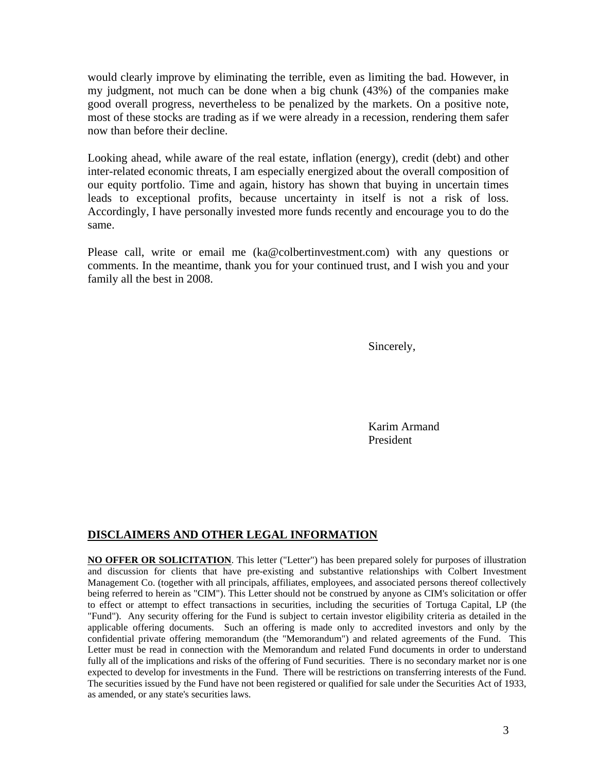would clearly improve by eliminating the terrible, even as limiting the bad. However, in my judgment, not much can be done when a big chunk (43%) of the companies make good overall progress, nevertheless to be penalized by the markets. On a positive note, most of these stocks are trading as if we were already in a recession, rendering them safer now than before their decline.

Looking ahead, while aware of the real estate, inflation (energy), credit (debt) and other inter-related economic threats, I am especially energized about the overall composition of our equity portfolio. Time and again, history has shown that buying in uncertain times leads to exceptional profits, because uncertainty in itself is not a risk of loss. Accordingly, I have personally invested more funds recently and encourage you to do the same.

Please call, write or email me (ka@colbertinvestment.com) with any questions or comments. In the meantime, thank you for your continued trust, and I wish you and your family all the best in 2008.

Sincerely,

 Karim Armand President

## **DISCLAIMERS AND OTHER LEGAL INFORMATION**

**NO OFFER OR SOLICITATION**. This letter ("Letter") has been prepared solely for purposes of illustration and discussion for clients that have pre-existing and substantive relationships with Colbert Investment Management Co. (together with all principals, affiliates, employees, and associated persons thereof collectively being referred to herein as "CIM"). This Letter should not be construed by anyone as CIM's solicitation or offer to effect or attempt to effect transactions in securities, including the securities of Tortuga Capital, LP (the "Fund"). Any security offering for the Fund is subject to certain investor eligibility criteria as detailed in the applicable offering documents. Such an offering is made only to accredited investors and only by the confidential private offering memorandum (the "Memorandum") and related agreements of the Fund. This Letter must be read in connection with the Memorandum and related Fund documents in order to understand fully all of the implications and risks of the offering of Fund securities. There is no secondary market nor is one expected to develop for investments in the Fund. There will be restrictions on transferring interests of the Fund. The securities issued by the Fund have not been registered or qualified for sale under the Securities Act of 1933, as amended, or any state's securities laws.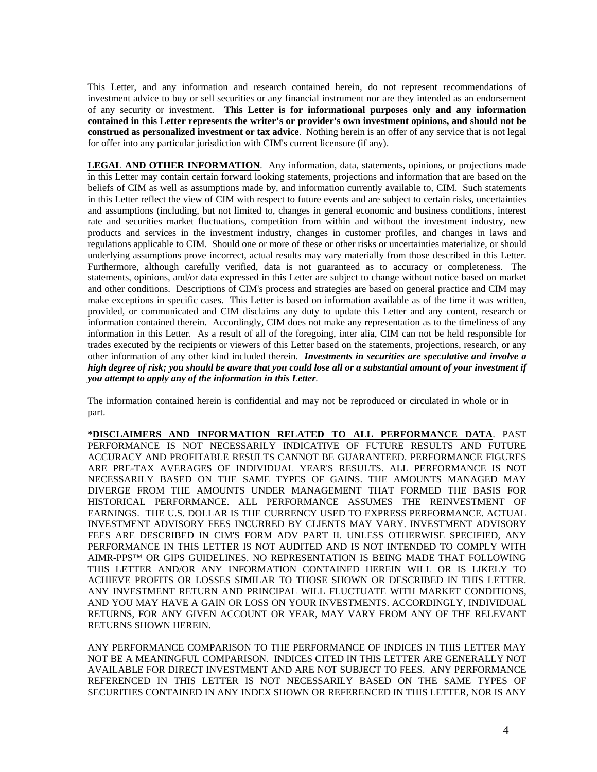This Letter, and any information and research contained herein, do not represent recommendations of investment advice to buy or sell securities or any financial instrument nor are they intended as an endorsement of any security or investment. **This Letter is for informational purposes only and any information contained in this Letter represents the writer's or provider's own investment opinions, and should not be construed as personalized investment or tax advice**. Nothing herein is an offer of any service that is not legal for offer into any particular jurisdiction with CIM's current licensure (if any).

**LEGAL AND OTHER INFORMATION**. Any information, data, statements, opinions, or projections made in this Letter may contain certain forward looking statements, projections and information that are based on the beliefs of CIM as well as assumptions made by, and information currently available to, CIM. Such statements in this Letter reflect the view of CIM with respect to future events and are subject to certain risks, uncertainties and assumptions (including, but not limited to, changes in general economic and business conditions, interest rate and securities market fluctuations, competition from within and without the investment industry, new products and services in the investment industry, changes in customer profiles, and changes in laws and regulations applicable to CIM. Should one or more of these or other risks or uncertainties materialize, or should underlying assumptions prove incorrect, actual results may vary materially from those described in this Letter. Furthermore, although carefully verified, data is not guaranteed as to accuracy or completeness. The statements, opinions, and/or data expressed in this Letter are subject to change without notice based on market and other conditions. Descriptions of CIM's process and strategies are based on general practice and CIM may make exceptions in specific cases. This Letter is based on information available as of the time it was written, provided, or communicated and CIM disclaims any duty to update this Letter and any content, research or information contained therein. Accordingly, CIM does not make any representation as to the timeliness of any information in this Letter. As a result of all of the foregoing, inter alia, CIM can not be held responsible for trades executed by the recipients or viewers of this Letter based on the statements, projections, research, or any other information of any other kind included therein. *Investments in securities are speculative and involve a high degree of risk; you should be aware that you could lose all or a substantial amount of your investment if you attempt to apply any of the information in this Letter.* 

The information contained herein is confidential and may not be reproduced or circulated in whole or in part.

**\*DISCLAIMERS AND INFORMATION RELATED TO ALL PERFORMANCE DATA**. PAST PERFORMANCE IS NOT NECESSARILY INDICATIVE OF FUTURE RESULTS AND FUTURE ACCURACY AND PROFITABLE RESULTS CANNOT BE GUARANTEED. PERFORMANCE FIGURES ARE PRE-TAX AVERAGES OF INDIVIDUAL YEAR'S RESULTS. ALL PERFORMANCE IS NOT NECESSARILY BASED ON THE SAME TYPES OF GAINS. THE AMOUNTS MANAGED MAY DIVERGE FROM THE AMOUNTS UNDER MANAGEMENT THAT FORMED THE BASIS FOR HISTORICAL PERFORMANCE. ALL PERFORMANCE ASSUMES THE REINVESTMENT OF EARNINGS. THE U.S. DOLLAR IS THE CURRENCY USED TO EXPRESS PERFORMANCE. ACTUAL INVESTMENT ADVISORY FEES INCURRED BY CLIENTS MAY VARY. INVESTMENT ADVISORY FEES ARE DESCRIBED IN CIM'S FORM ADV PART II. UNLESS OTHERWISE SPECIFIED, ANY PERFORMANCE IN THIS LETTER IS NOT AUDITED AND IS NOT INTENDED TO COMPLY WITH AIMR-PPS™ OR GIPS GUIDELINES. NO REPRESENTATION IS BEING MADE THAT FOLLOWING THIS LETTER AND/OR ANY INFORMATION CONTAINED HEREIN WILL OR IS LIKELY TO ACHIEVE PROFITS OR LOSSES SIMILAR TO THOSE SHOWN OR DESCRIBED IN THIS LETTER. ANY INVESTMENT RETURN AND PRINCIPAL WILL FLUCTUATE WITH MARKET CONDITIONS, AND YOU MAY HAVE A GAIN OR LOSS ON YOUR INVESTMENTS. ACCORDINGLY, INDIVIDUAL RETURNS, FOR ANY GIVEN ACCOUNT OR YEAR, MAY VARY FROM ANY OF THE RELEVANT RETURNS SHOWN HEREIN.

ANY PERFORMANCE COMPARISON TO THE PERFORMANCE OF INDICES IN THIS LETTER MAY NOT BE A MEANINGFUL COMPARISON. INDICES CITED IN THIS LETTER ARE GENERALLY NOT AVAILABLE FOR DIRECT INVESTMENT AND ARE NOT SUBJECT TO FEES. ANY PERFORMANCE REFERENCED IN THIS LETTER IS NOT NECESSARILY BASED ON THE SAME TYPES OF SECURITIES CONTAINED IN ANY INDEX SHOWN OR REFERENCED IN THIS LETTER, NOR IS ANY